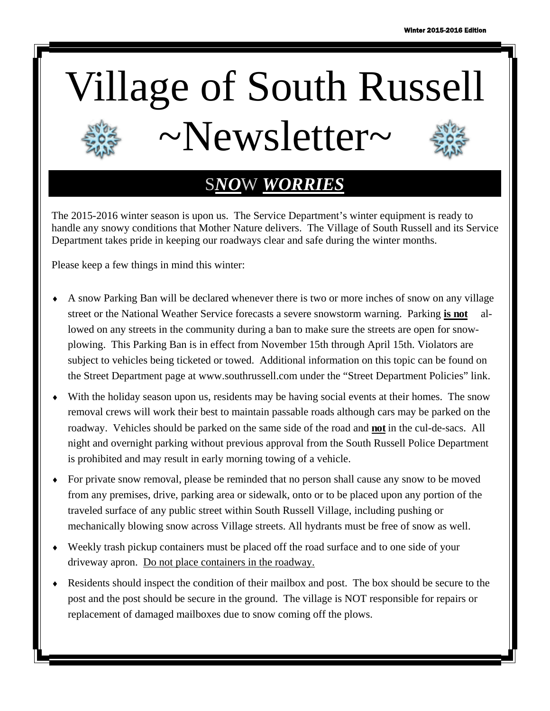# Village of South Russell  $\sim$ Newsletter $\sim$

# S*NO*W *WORRIES*

The 2015-2016 winter season is upon us. The Service Department's winter equipment is ready to handle any snowy conditions that Mother Nature delivers. The Village of South Russell and its Service Department takes pride in keeping our roadways clear and safe during the winter months.

Please keep a few things in mind this winter:

- A snow Parking Ban will be declared whenever there is two or more inches of snow on any village street or the National Weather Service forecasts a severe snowstorm warning. Parking **is not** allowed on any streets in the community during a ban to make sure the streets are open for snowplowing. This Parking Ban is in effect from November 15th through April 15th. Violators are subject to vehicles being ticketed or towed. Additional information on this topic can be found on the Street Department page at www.southrussell.com under the "Street Department Policies" link.
- With the holiday season upon us, residents may be having social events at their homes. The snow removal crews will work their best to maintain passable roads although cars may be parked on the roadway. Vehicles should be parked on the same side of the road and **not** in the cul-de-sacs. All night and overnight parking without previous approval from the South Russell Police Department is prohibited and may result in early morning towing of a vehicle.
- For private snow removal, please be reminded that no person shall cause any snow to be moved from any premises, drive, parking area or sidewalk, onto or to be placed upon any portion of the traveled surface of any public street within South Russell Village, including pushing or mechanically blowing snow across Village streets. All hydrants must be free of snow as well.
- Weekly trash pickup containers must be placed off the road surface and to one side of your driveway apron. Do not place containers in the roadway.
- Residents should inspect the condition of their mailbox and post. The box should be secure to the post and the post should be secure in the ground. The village is NOT responsible for repairs or replacement of damaged mailboxes due to snow coming off the plows.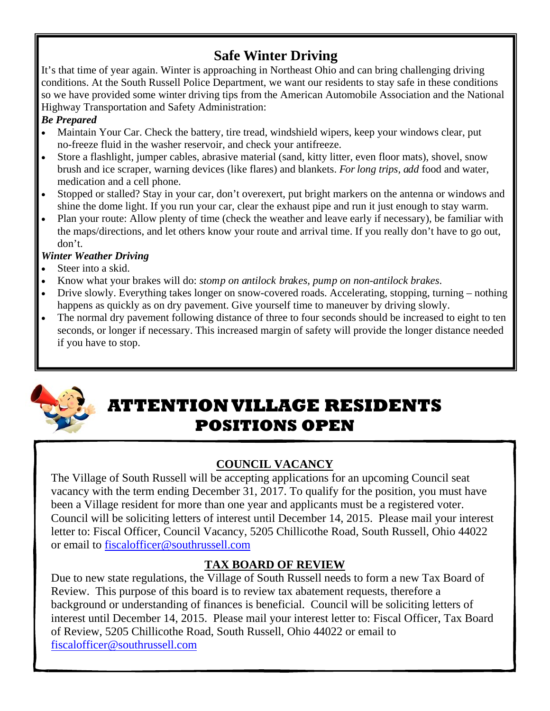## **Safe Winter Driving**

It's that time of year again. Winter is approaching in Northeast Ohio and can bring challenging driving conditions. At the South Russell Police Department, we want our residents to stay safe in these conditions so we have provided some winter driving tips from the American Automobile Association and the National Highway Transportation and Safety Administration:

#### *Be Prepared*

- Maintain Your Car. Check the battery, tire tread, windshield wipers, keep your windows clear, put no-freeze fluid in the washer reservoir, and check your antifreeze.
- Store a flashlight, jumper cables, abrasive material (sand, kitty litter, even floor mats), shovel, snow brush and ice scraper, warning devices (like flares) and blankets. *For long trips, add* food and water, medication and a cell phone.
- Stopped or stalled? Stay in your car, don't overexert, put bright markers on the antenna or windows and shine the dome light. If you run your car, clear the exhaust pipe and run it just enough to stay warm.
- Plan your route: Allow plenty of time (check the weather and leave early if necessary), be familiar with the maps/directions, and let others know your route and arrival time. If you really don't have to go out, don't.

#### *Winter Weather Driving*

- Steer into a skid.
- Know what your brakes will do: *stomp on antilock brakes, pump on non-antilock brakes*.
- Drive slowly. Everything takes longer on snow-covered roads. Accelerating, stopping, turning nothing happens as quickly as on dry pavement. Give yourself time to maneuver by driving slowly.
- The normal dry pavement following distance of three to four seconds should be increased to eight to ten seconds, or longer if necessary. This increased margin of safety will provide the longer distance needed if you have to stop.



# **ATTENTION VILLAGE RESIDENTS POSITIONS OPEN**

#### **COUNCIL VACANCY**

The Village of South Russell will be accepting applications for an upcoming Council seat vacancy with the term ending December 31, 2017. To qualify for the position, you must have been a Village resident for more than one year and applicants must be a registered voter. Council will be soliciting letters of interest until December 14, 2015. Please mail your interest letter to: Fiscal Officer, Council Vacancy, 5205 Chillicothe Road, South Russell, Ohio 44022 or email to fiscalofficer@southrussell.com

#### **TAX BOARD OF REVIEW**

Due to new state regulations, the Village of South Russell needs to form a new Tax Board of Review. This purpose of this board is to review tax abatement requests, therefore a background or understanding of finances is beneficial. Council will be soliciting letters of interest until December 14, 2015. Please mail your interest letter to: Fiscal Officer, Tax Board of Review, 5205 Chillicothe Road, South Russell, Ohio 44022 or email to fiscalofficer@southrussell.com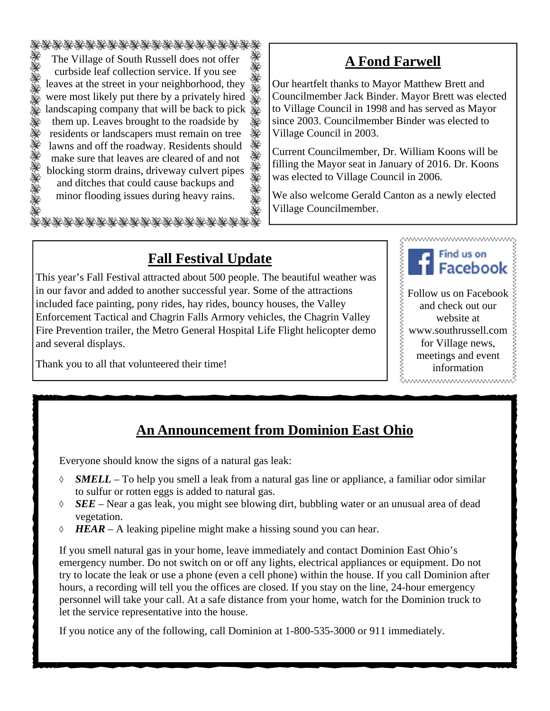诱惑诱惑诱诱诱诱诱诱 The Village of South Russell does not offer ÿ. curbside leaf collection service. If you see XX<br>XX leaves at the street in your neighborhood, they were most likely put there by a privately hired 医家族家族家族家族 landscaping company that will be back to pick them up. Leaves brought to the roadside by residents or landscapers must remain on tree lawns and off the roadway. Residents should make sure that leaves are cleared of and not blocking storm drains, driveway culvert pipes and ditches that could cause backups and minor flooding issues during heavy rains. Ý.

## **A Fond Farwell**

Our heartfelt thanks to Mayor Matthew Brett and Councilmember Jack Binder. Mayor Brett was elected to Village Council in 1998 and has served as Mayor since 2003. Councilmember Binder was elected to Village Council in 2003.

Current Councilmember, Dr. William Koons will be filling the Mayor seat in January of 2016. Dr. Koons was elected to Village Council in 2006.

We also welcome Gerald Canton as a newly elected Village Councilmember.

## **Fall Festival Update**

This year's Fall Festival attracted about 500 people. The beautiful weather was in our favor and added to another successful year. Some of the attractions included face painting, pony rides, hay rides, bouncy houses, the Valley Enforcement Tactical and Chagrin Falls Armory vehicles, the Chagrin Valley Fire Prevention trailer, the Metro General Hospital Life Flight helicopter demo and several displays.



Thank you to all that volunteered their time!

information

### **An Announcement from Dominion East Ohio**

Everyone should know the signs of a natural gas leak:

- *SMELL* To help you smell a leak from a natural gas line or appliance, a familiar odor similar to sulfur or rotten eggs is added to natural gas.
- *SEE*  Near a gas leak, you might see blowing dirt, bubbling water or an unusual area of dead vegetation.
- $\Diamond$  **HEAR** A leaking pipeline might make a hissing sound you can hear.

If you smell natural gas in your home, leave immediately and contact Dominion East Ohio's emergency number. Do not switch on or off any lights, electrical appliances or equipment. Do not try to locate the leak or use a phone (even a cell phone) within the house. If you call Dominion after hours, a recording will tell you the offices are closed. If you stay on the line, 24-hour emergency personnel will take your call. At a safe distance from your home, watch for the Dominion truck to let the service representative into the house.

If you notice any of the following, call Dominion at 1-800-535-3000 or 911 immediately.